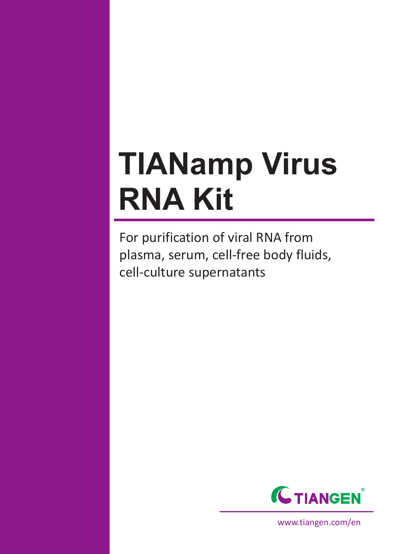# **TIANamp Virus RNA Kit**

For purification of viral RNA from plasma, serum, cell-free body fluids, cell-culture supernatants



www.tiangen.com/en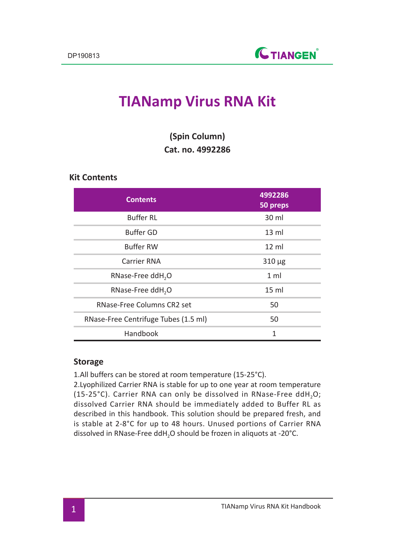# **TIANamp Virus RNA Kit**

|                         | (Spin Column) |  |
|-------------------------|---------------|--|
| <b>Cat. no. 4992286</b> |               |  |

## **Kit Contents**

| <b>Contents</b>                      | 4992286<br>50 preps |
|--------------------------------------|---------------------|
| <b>Buffer RL</b>                     | 30 ml               |
| <b>Buffer GD</b>                     | $13 \text{ ml}$     |
| <b>Buffer RW</b>                     | $12 \text{ ml}$     |
| Carrier RNA                          | $310 \mu g$         |
| RNase-Free ddH <sub>2</sub> O        | 1 <sub>m</sub>      |
| RNase-Free ddH <sub>2</sub> O        | 15 <sub>ml</sub>    |
| RNase-Free Columns CR2 set           | 50                  |
| RNase-Free Centrifuge Tubes (1.5 ml) | 50                  |
| Handbook                             | 1                   |

#### **Storage**

1.All buffers can be stored at room temperature (15-25°C).

2.Lyophilized Carrier RNA is stable for up to one year at room temperature (15-25 $^{\circ}$ C). Carrier RNA can only be dissolved in RNase-Free ddH<sub>2</sub>O; dissolved Carrier RNA should be immediately added to Buffer RL as described in this handbook. This solution should be prepared fresh, and is stable at 2-8°C for up to 48 hours. Unused portions of Carrier RNA dissolved in RNase-Free ddH<sub>2</sub>O should be frozen in aliquots at -20°C.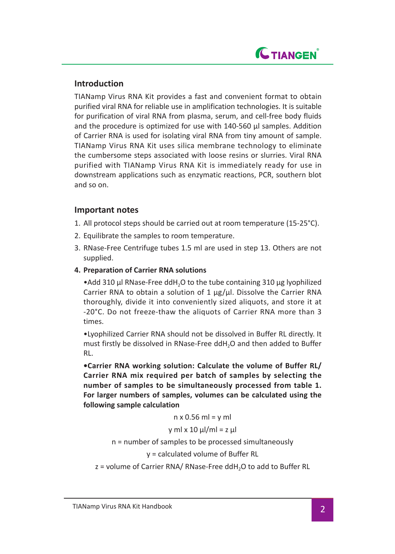

# **Introduction**

TIANamp Virus RNA Kit provides a fast and convenient format to obtain purified viral RNA for reliable use in amplification technologies. It is suitable for purification of viral RNA from plasma, serum, and cell-free body fluids and the procedure is optimized for use with 140-560 μl samples. Addition of Carrier RNA is used for isolating viral RNA from tiny amount of sample. TIANamp Virus RNA Kit uses silica membrane technology to eliminate the cumbersome steps associated with loose resins or slurries. Viral RNA purified with TIANamp Virus RNA Kit is immediately ready for use in downstream applications such as enzymatic reactions, PCR, southern blot and so on.

# **Important notes**

- 1. All protocol steps should be carried out at room temperature (15-25°C).
- 2. Equilibrate the samples to room temperature.
- 3. RNase-Free Centrifuge tubes 1.5 ml are used in step 13. Others are not supplied.
- **4. Preparation of Carrier RNA solutions**

•Add 310 μl RNase-Free ddH<sub>2</sub>O to the tube containing 310 μg lyophilized Carrier RNA to obtain a solution of 1 μg/μl. Dissolve the Carrier RNA thoroughly, divide it into conveniently sized aliquots, and store it at -20°C. Do not freeze-thaw the aliquots of Carrier RNA more than 3 times.

•Lyophilized Carrier RNA should not be dissolved in Buffer RL directly. It must firstly be dissolved in RNase-Free ddH2O and then added to Buffer RL.

**•Carrier RNA working solution: Calculate the volume of Buffer RL/ Carrier RNA mix required per batch of samples by selecting the number of samples to be simultaneously processed from table 1. For larger numbers of samples, volumes can be calculated using the following sample calculation**

 $n \times 0.56$  ml = y ml

$$
y \text{ ml} \times 10 \text{ µl/ml} = z \text{ µl}
$$

#### n = number of samples to be processed simultaneously

y = calculated volume of Buffer RL

z = volume of Carrier RNA/ RNase-Free ddH<sub>2</sub>O to add to Buffer RL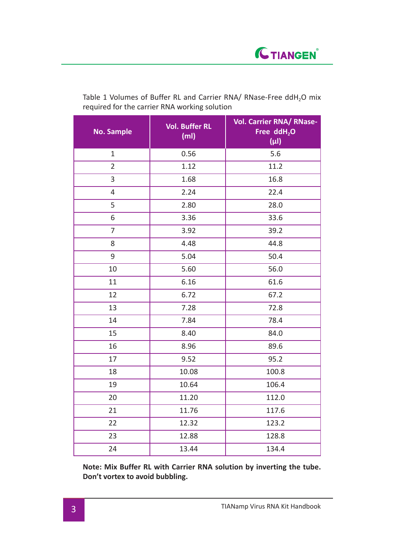| <b>No. Sample</b> | <b>Vol. Buffer RL</b><br>(m <sub>l</sub> ) | Vol. Carrier RNA/ RNase-<br>Free ddH <sub>2</sub> O<br>$(\mu I)$ |
|-------------------|--------------------------------------------|------------------------------------------------------------------|
| $\mathbf 1$       | 0.56                                       | 5.6                                                              |
| $\overline{2}$    | 1.12                                       | 11.2                                                             |
| 3                 | 1.68                                       | 16.8                                                             |
| 4                 | 2.24                                       | 22.4                                                             |
| 5                 | 2.80                                       | 28.0                                                             |
| 6                 | 3.36                                       | 33.6                                                             |
| 7                 | 3.92                                       | 39.2                                                             |
| 8                 | 4.48                                       | 44.8                                                             |
| 9                 | 5.04                                       | 50.4                                                             |
| 10                | 5.60                                       | 56.0                                                             |
| 11                | 6.16                                       | 61.6                                                             |
| 12                | 6.72                                       | 67.2                                                             |
| 13                | 7.28                                       | 72.8                                                             |
| 14                | 7.84                                       | 78.4                                                             |
| 15                | 8.40                                       | 84.0                                                             |
| 16                | 8.96                                       | 89.6                                                             |
| 17                | 9.52                                       | 95.2                                                             |
| 18                | 10.08                                      | 100.8                                                            |
| 19                | 10.64                                      | 106.4                                                            |
| 20                | 11.20                                      | 112.0                                                            |
| 21                | 11.76                                      | 117.6                                                            |
| 22                | 12.32                                      | 123.2                                                            |
| 23                | 12.88                                      | 128.8                                                            |
| 24                | 13.44                                      | 134.4                                                            |

Table 1 Volumes of Buffer RL and Carrier RNA/ RNase-Free ddH<sub>2</sub>O mix required for the carrier RNA working solution

**Note: Mix Buffer RL with Carrier RNA solution by inverting the tube. Don't vortex to avoid bubbling.**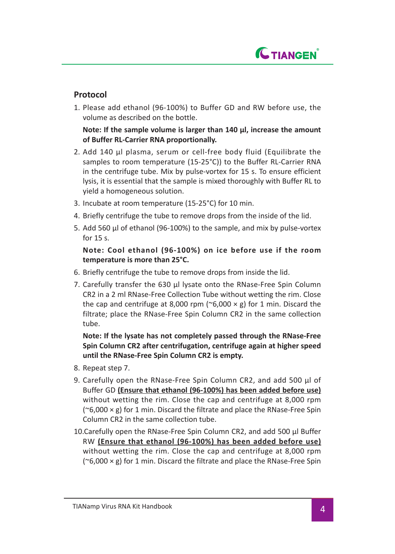

# **Protocol**

1. Please add ethanol (96-100%) to Buffer GD and RW before use, the volume as described on the bottle.

 **Note: If the sample volume is larger than 140 μl, increase the amount of Buffer RL-Carrier RNA proportionally.**

- 2. Add 140 μl plasma, serum or cell-free body fluid (Equilibrate the samples to room temperature (15-25°C)) to the Buffer RL-Carrier RNA in the centrifuge tube. Mix by pulse-vortex for 15 s. To ensure efficient lysis, it is essential that the sample is mixed thoroughly with Buffer RL to yield a homogeneous solution.
- 3. Incubate at room temperature (15-25°C) for 10 min.
- 4. Briefly centrifuge the tube to remove drops from the inside of the lid.
- 5. Add 560 μl of ethanol (96-100%) to the sample, and mix by pulse-vortex for 15 s.

## **Note: Cool ethanol (96-100%) on ice before use if the room temperature is more than 25°C.**

- 6. Briefly centrifuge the tube to remove drops from inside the lid.
- 7. Carefully transfer the 630 μl lysate onto the RNase-Free Spin Column CR2 in a 2 ml RNase-Free Collection Tube without wetting the rim. Close the cap and centrifuge at 8,000 rpm ( $\degree$ 6,000  $\times$  g) for 1 min. Discard the filtrate; place the RNase-Free Spin Column CR2 in the same collection tube.

**Note: If the lysate has not completely passed through the RNase-Free Spin Column CR2 after centrifugation, centrifuge again at higher speed until the RNase-Free Spin Column CR2 is empty.**

- 8. Repeat step 7.
- 9. Carefully open the RNase-Free Spin Column CR2, and add 500 μl of Buffer GD **(Ensure that ethanol (96-100%) has been added before use)** without wetting the rim. Close the cap and centrifuge at 8,000 rpm ( $\degree$ 6,000  $\times$  g) for 1 min. Discard the filtrate and place the RNase-Free Spin Column CR2 in the same collection tube.
- 10.Carefully open the RNase-Free Spin Column CR2, and add 500 μl Buffer RW **(Ensure that ethanol (96-100%) has been added before use)** without wetting the rim. Close the cap and centrifuge at 8,000 rpm  $(^{o}6,000 \times g)$  for 1 min. Discard the filtrate and place the RNase-Free Spin